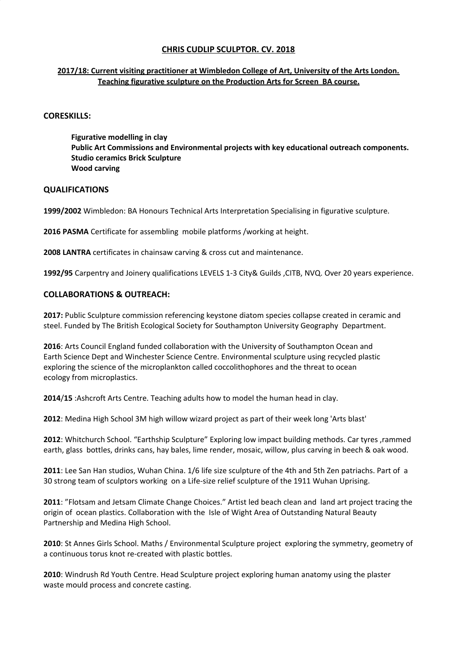### **2017/18: Current visiting practitioner at Wimbledon College of Art, University of the Arts London. Teaching figurative sculpture on the Production Arts for Screen BA course.**

### **CORESKILLS:**

**Figurative modelling in clay Public Art Commissions and Environmental projects with key educational outreach components. Studio ceramics Brick Sculpture Wood carving**

### **QUALIFICATIONS**

**1999/2002** Wimbledon: BA Honours Technical Arts Interpretation Specialising in figurative sculpture.

**2016 PASMA** Certificate for assembling mobile platforms /working at height.

**2008 LANTRA** certificates in chainsaw carving & cross cut and maintenance.

**1992/95** Carpentry and Joinery qualifications LEVELS 1-3 City& Guilds ,CITB, NVQ. Over 20 years experience.

## **COLLABORATIONS & OUTREACH:**

**2017:** Public Sculpture commission referencing keystone diatom species collapse created in ceramic and steel. Funded by The British Ecological Society for Southampton University Geography Department.

**2016**: Arts Council England funded collaboration with the University of Southampton Ocean and Earth Science Dept and Winchester Science Centre. Environmental sculpture using recycled plastic exploring the science of the microplankton called coccolithophores and the threat to ocean ecology from microplastics.

**2014**/**15** :Ashcroft Arts Centre. Teaching adults how to model the human head in clay.

**2012**: Medina High School 3M high willow wizard project as part of their week long 'Arts blast'

**2012**: Whitchurch School. "Earthship Sculpture" Exploring low impact building methods. Car tyres ,rammed earth, glass bottles, drinks cans, hay bales, lime render, mosaic, willow, plus carving in beech & oak wood.

**2011**: Lee San Han studios, Wuhan China. 1/6 life size sculpture of the 4th and 5th Zen patriachs. Part of a 30 strong team of sculptors working on a Life-size relief sculpture of the 1911 Wuhan Uprising.

**2011**: "Flotsam and Jetsam Climate Change Choices." Artist led beach clean and land art project tracing the origin of ocean plastics. Collaboration with the Isle of Wight Area of Outstanding Natural Beauty Partnership and Medina High School.

**2010**: St Annes Girls School. Maths / Environmental Sculpture project exploring the symmetry, geometry of a continuous torus knot re-created with plastic bottles.

**2010**: Windrush Rd Youth Centre. Head Sculpture project exploring human anatomy using the plaster waste mould process and concrete casting.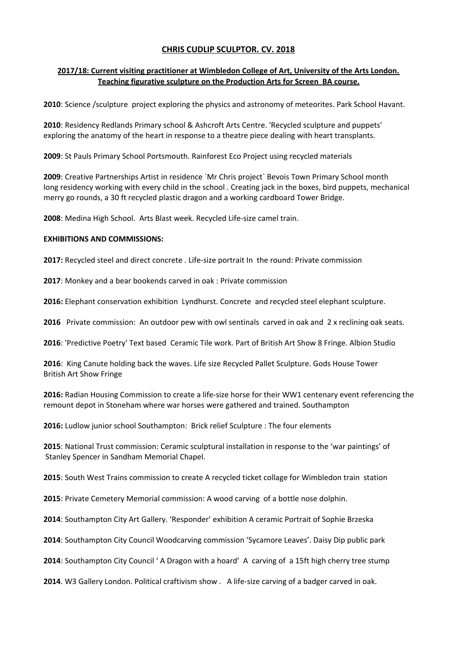### **2017/18: Current visiting practitioner at Wimbledon College of Art, University of the Arts London. Teaching figurative sculpture on the Production Arts for Screen BA course.**

**2010**: Science /sculpture project exploring the physics and astronomy of meteorites. Park School Havant.

**2010**: Residency Redlands Primary school & Ashcroft Arts Centre. 'Recycled sculpture and puppets' exploring the anatomy of the heart in response to a theatre piece dealing with heart transplants.

**2009**: St Pauls Primary School Portsmouth. Rainforest Eco Project using recycled materials

**2009**: Creative Partnerships Artist in residence `Mr Chris project` Bevois Town Primary School month long residency working with every child in the school . Creating jack in the boxes, bird puppets, mechanical merry go rounds, a 30 ft recycled plastic dragon and a working cardboard Tower Bridge.

**2008**: Medina High School. Arts Blast week. Recycled Life-size camel train.

#### **EXHIBITIONS AND COMMISSIONS:**

**2017:** Recycled steel and direct concrete . Life-size portrait In the round: Private commission

**2017**: Monkey and a bear bookends carved in oak : Private commission

**2016:** Elephant conservation exhibition Lyndhurst. Concrete and recycled steel elephant sculpture.

**2016** Private commission: An outdoor pew with owl sentinals carved in oak and 2 x reclining oak seats.

**2016**: 'Predictive Poetry' Text based Ceramic Tile work. Part of British Art Show 8 Fringe. Albion Studio

**2016**: King Canute holding back the waves. Life size Recycled Pallet Sculpture. Gods House Tower British Art Show Fringe

**2016:** Radian Housing Commission to create a life-size horse for their WW1 centenary event referencing the remount depot in Stoneham where war horses were gathered and trained. Southampton

**2016:** Ludlow junior school Southampton: Brick relief Sculpture : The four elements

**2015**: National Trust commission: Ceramic sculptural installation in response to the 'war paintings' of Stanley Spencer in Sandham Memorial Chapel.

**2015**: South West Trains commission to create A recycled ticket collage for Wimbledon train station

**2015**: Private Cemetery Memorial commission: A wood carving of a bottle nose dolphin.

**2014**: Southampton City Art Gallery. 'Responder' exhibition A ceramic Portrait of Sophie Brzeska

**2014**: Southampton City Council Woodcarving commission 'Sycamore Leaves'. Daisy Dip public park

**2014**: Southampton City Council ' A Dragon with a hoard' A carving of a 15ft high cherry tree stump

**2014**. W3 Gallery London. Political craftivism show . A life-size carving of a badger carved in oak.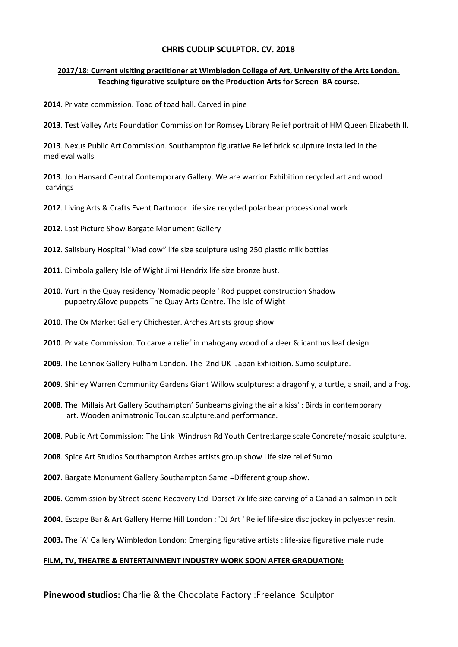### **2017/18: Current visiting practitioner at Wimbledon College of Art, University of the Arts London. Teaching figurative sculpture on the Production Arts for Screen BA course.**

. Private commission. Toad of toad hall. Carved in pine

. Test Valley Arts Foundation Commission for Romsey Library Relief portrait of HM Queen Elizabeth II.

. Nexus Public Art Commission. Southampton figurative Relief brick sculpture installed in the medieval walls

. Jon Hansard Central Contemporary Gallery. We are warrior Exhibition recycled art and wood carvings

- . Living Arts & Crafts Event Dartmoor Life size recycled polar bear processional work
- . Last Picture Show Bargate Monument Gallery
- . Salisbury Hospital "Mad cow" life size sculpture using 250 plastic milk bottles
- . Dimbola gallery Isle of Wight Jimi Hendrix life size bronze bust.
- . Yurt in the Quay residency 'Nomadic people ' Rod puppet construction Shadow puppetry.Glove puppets The Quay Arts Centre. The Isle of Wight
- . The Ox Market Gallery Chichester. Arches Artists group show
- . Private Commission. To carve a relief in mahogany wood of a deer & icanthus leaf design.
- . The Lennox Gallery Fulham London. The 2nd UK -Japan Exhibition. Sumo sculpture.
- . Shirley Warren Community Gardens Giant Willow sculptures: a dragonfly, a turtle, a snail, and a frog.
- . The Millais Art Gallery Southampton' Sunbeams giving the air a kiss' : Birds in contemporary art. Wooden animatronic Toucan sculpture.and performance.
- . Public Art Commission: The Link Windrush Rd Youth Centre:Large scale Concrete/mosaic sculpture.
- . Spice Art Studios Southampton Arches artists group show Life size relief Sumo
- . Bargate Monument Gallery Southampton Same =Different group show.
- . Commission by Street-scene Recovery Ltd Dorset 7x life size carving of a Canadian salmon in oak
- **2004.** Escape Bar & Art Gallery Herne Hill London : 'DJ Art ' Relief life-size disc jockey in polyester resin.
- **2003.** The `A' Gallery Wimbledon London: Emerging figurative artists : life-size figurative male nude

### **FILM, TV, THEATRE & ENTERTAINMENT INDUSTRY WORK SOON AFTER GRADUATION:**

**Pinewood studios:** Charlie & the Chocolate Factory :Freelance Sculptor